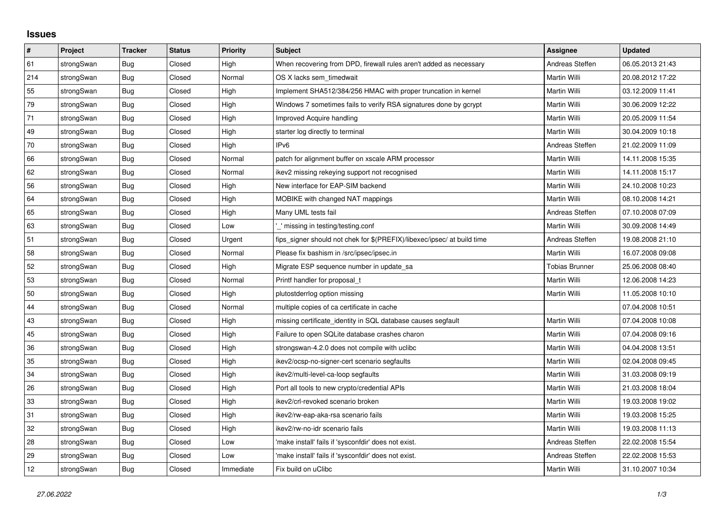## **Issues**

| #   | Project    | <b>Tracker</b> | <b>Status</b> | <b>Priority</b> | <b>Subject</b>                                                          | Assignee              | <b>Updated</b>   |
|-----|------------|----------------|---------------|-----------------|-------------------------------------------------------------------------|-----------------------|------------------|
| 61  | strongSwan | <b>Bug</b>     | Closed        | High            | When recovering from DPD, firewall rules aren't added as necessary      | Andreas Steffen       | 06.05.2013 21:43 |
| 214 | strongSwan | Bug            | Closed        | Normal          | OS X lacks sem timedwait                                                | Martin Willi          | 20.08.2012 17:22 |
| 55  | strongSwan | Bug            | Closed        | High            | Implement SHA512/384/256 HMAC with proper truncation in kernel          | Martin Willi          | 03.12.2009 11:41 |
| 79  | strongSwan | <b>Bug</b>     | Closed        | High            | Windows 7 sometimes fails to verify RSA signatures done by gcrypt       | <b>Martin Willi</b>   | 30.06.2009 12:22 |
| 71  | strongSwan | <b>Bug</b>     | Closed        | High            | Improved Acquire handling                                               | Martin Willi          | 20.05.2009 11:54 |
| 49  | strongSwan | <b>Bug</b>     | Closed        | High            | starter log directly to terminal                                        | Martin Willi          | 30.04.2009 10:18 |
| 70  | strongSwan | <b>Bug</b>     | Closed        | High            | IP <sub>v6</sub>                                                        | Andreas Steffen       | 21.02.2009 11:09 |
| 66  | strongSwan | Bug            | Closed        | Normal          | patch for alignment buffer on xscale ARM processor                      | Martin Willi          | 14.11.2008 15:35 |
| 62  | strongSwan | Bug            | Closed        | Normal          | ikev2 missing rekeying support not recognised                           | Martin Willi          | 14.11.2008 15:17 |
| 56  | strongSwan | <b>Bug</b>     | Closed        | High            | New interface for EAP-SIM backend                                       | <b>Martin Willi</b>   | 24.10.2008 10:23 |
| 64  | strongSwan | Bug            | Closed        | High            | MOBIKE with changed NAT mappings                                        | Martin Willi          | 08.10.2008 14:21 |
| 65  | strongSwan | Bug            | Closed        | High            | Many UML tests fail                                                     | Andreas Steffen       | 07.10.2008 07:09 |
| 63  | strongSwan | <b>Bug</b>     | Closed        | Low             | missing in testing/testing.conf                                         | <b>Martin Willi</b>   | 30.09.2008 14:49 |
| 51  | strongSwan | Bug            | Closed        | Urgent          | fips_signer should not chek for \$(PREFIX)/libexec/ipsec/ at build time | Andreas Steffen       | 19.08.2008 21:10 |
| 58  | strongSwan | Bug            | Closed        | Normal          | Please fix bashism in /src/ipsec/ipsec.in                               | Martin Willi          | 16.07.2008 09:08 |
| 52  | strongSwan | <b>Bug</b>     | Closed        | High            | Migrate ESP sequence number in update sa                                | <b>Tobias Brunner</b> | 25.06.2008 08:40 |
| 53  | strongSwan | Bug            | Closed        | Normal          | Printf handler for proposal_t                                           | Martin Willi          | 12.06.2008 14:23 |
| 50  | strongSwan | Bug            | Closed        | High            | plutostderrlog option missing                                           | Martin Willi          | 11.05.2008 10:10 |
| 44  | strongSwan | Bug            | Closed        | Normal          | multiple copies of ca certificate in cache                              |                       | 07.04.2008 10:51 |
| 43  | strongSwan | Bug            | Closed        | High            | missing certificate_identity in SQL database causes segfault            | Martin Willi          | 07.04.2008 10:08 |
| 45  | strongSwan | <b>Bug</b>     | Closed        | High            | Failure to open SQLite database crashes charon                          | Martin Willi          | 07.04.2008 09:16 |
| 36  | strongSwan | Bug            | Closed        | High            | strongswan-4.2.0 does not compile with uclibe                           | Martin Willi          | 04.04.2008 13:51 |
| 35  | strongSwan | Bug            | Closed        | High            | ikev2/ocsp-no-signer-cert scenario segfaults                            | Martin Willi          | 02.04.2008 09:45 |
| 34  | strongSwan | Bug            | Closed        | High            | ikev2/multi-level-ca-loop segfaults                                     | Martin Willi          | 31.03.2008 09:19 |
| 26  | strongSwan | <b>Bug</b>     | Closed        | High            | Port all tools to new crypto/credential APIs                            | Martin Willi          | 21.03.2008 18:04 |
| 33  | strongSwan | Bug            | Closed        | High            | ikev2/crl-revoked scenario broken                                       | Martin Willi          | 19.03.2008 19:02 |
| 31  | strongSwan | Bug            | Closed        | High            | ikev2/rw-eap-aka-rsa scenario fails                                     | Martin Willi          | 19.03.2008 15:25 |
| 32  | strongSwan | Bug            | Closed        | High            | ikev2/rw-no-idr scenario fails                                          | Martin Willi          | 19.03.2008 11:13 |
| 28  | strongSwan | Bug            | Closed        | Low             | 'make install' fails if 'sysconfdir' does not exist.                    | Andreas Steffen       | 22.02.2008 15:54 |
| 29  | strongSwan | Bug            | Closed        | Low             | 'make install' fails if 'sysconfdir' does not exist.                    | Andreas Steffen       | 22.02.2008 15:53 |
| 12  | strongSwan | Bug            | Closed        | Immediate       | Fix build on uClibc                                                     | Martin Willi          | 31.10.2007 10:34 |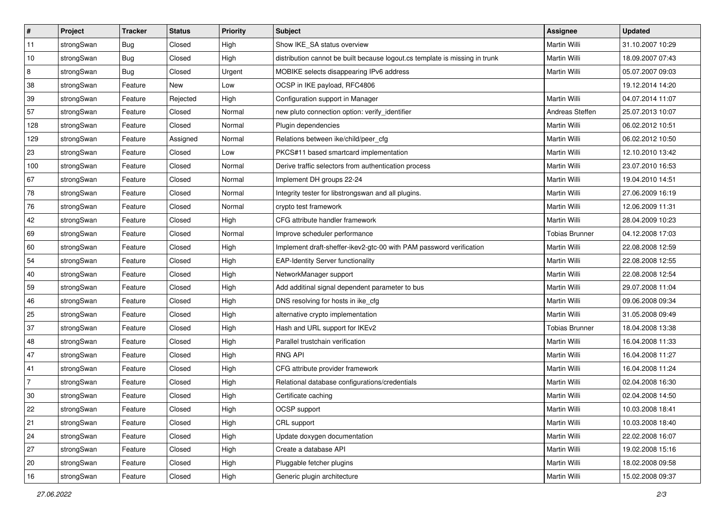| $\sharp$       | Project    | <b>Tracker</b> | <b>Status</b> | Priority | Subject                                                                     | Assignee              | <b>Updated</b>   |
|----------------|------------|----------------|---------------|----------|-----------------------------------------------------------------------------|-----------------------|------------------|
| 11             | strongSwan | Bug            | Closed        | High     | Show IKE_SA status overview                                                 | Martin Willi          | 31.10.2007 10:29 |
| 10             | strongSwan | Bug            | Closed        | High     | distribution cannot be built because logout.cs template is missing in trunk | Martin Willi          | 18.09.2007 07:43 |
| 8              | strongSwan | <b>Bug</b>     | Closed        | Urgent   | MOBIKE selects disappearing IPv6 address                                    | Martin Willi          | 05.07.2007 09:03 |
| 38             | strongSwan | Feature        | New           | Low      | OCSP in IKE payload, RFC4806                                                |                       | 19.12.2014 14:20 |
| 39             | strongSwan | Feature        | Rejected      | High     | Configuration support in Manager                                            | Martin Willi          | 04.07.2014 11:07 |
| 57             | strongSwan | Feature        | Closed        | Normal   | new pluto connection option: verify_identifier                              | Andreas Steffen       | 25.07.2013 10:07 |
| 128            | strongSwan | Feature        | Closed        | Normal   | Plugin dependencies                                                         | Martin Willi          | 06.02.2012 10:51 |
| 129            | strongSwan | Feature        | Assigned      | Normal   | Relations between ike/child/peer cfg                                        | Martin Willi          | 06.02.2012 10:50 |
| 23             | strongSwan | Feature        | Closed        | Low      | PKCS#11 based smartcard implementation                                      | Martin Willi          | 12.10.2010 13:42 |
| 100            | strongSwan | Feature        | Closed        | Normal   | Derive traffic selectors from authentication process                        | Martin Willi          | 23.07.2010 16:53 |
| 67             | strongSwan | Feature        | Closed        | Normal   | Implement DH groups 22-24                                                   | Martin Willi          | 19.04.2010 14:51 |
| 78             | strongSwan | Feature        | Closed        | Normal   | Integrity tester for libstrongswan and all plugins.                         | Martin Willi          | 27.06.2009 16:19 |
| 76             | strongSwan | Feature        | Closed        | Normal   | crypto test framework                                                       | Martin Willi          | 12.06.2009 11:31 |
| 42             | strongSwan | Feature        | Closed        | High     | CFG attribute handler framework                                             | Martin Willi          | 28.04.2009 10:23 |
| 69             | strongSwan | Feature        | Closed        | Normal   | Improve scheduler performance                                               | <b>Tobias Brunner</b> | 04.12.2008 17:03 |
| 60             | strongSwan | Feature        | Closed        | High     | Implement draft-sheffer-ikev2-gtc-00 with PAM password verification         | Martin Willi          | 22.08.2008 12:59 |
| 54             | strongSwan | Feature        | Closed        | High     | <b>EAP-Identity Server functionality</b>                                    | Martin Willi          | 22.08.2008 12:55 |
| 40             | strongSwan | Feature        | Closed        | High     | NetworkManager support                                                      | Martin Willi          | 22.08.2008 12:54 |
| 59             | strongSwan | Feature        | Closed        | High     | Add additinal signal dependent parameter to bus                             | Martin Willi          | 29.07.2008 11:04 |
| 46             | strongSwan | Feature        | Closed        | High     | DNS resolving for hosts in ike_cfg                                          | Martin Willi          | 09.06.2008 09:34 |
| 25             | strongSwan | Feature        | Closed        | High     | alternative crypto implementation                                           | Martin Willi          | 31.05.2008 09:49 |
| 37             | strongSwan | Feature        | Closed        | High     | Hash and URL support for IKEv2                                              | <b>Tobias Brunner</b> | 18.04.2008 13:38 |
| 48             | strongSwan | Feature        | Closed        | High     | Parallel trustchain verification                                            | Martin Willi          | 16.04.2008 11:33 |
| 47             | strongSwan | Feature        | Closed        | High     | <b>RNG API</b>                                                              | Martin Willi          | 16.04.2008 11:27 |
| 41             | strongSwan | Feature        | Closed        | High     | CFG attribute provider framework                                            | Martin Willi          | 16.04.2008 11:24 |
| $\overline{7}$ | strongSwan | Feature        | Closed        | High     | Relational database configurations/credentials                              | Martin Willi          | 02.04.2008 16:30 |
| 30             | strongSwan | Feature        | Closed        | High     | Certificate caching                                                         | Martin Willi          | 02.04.2008 14:50 |
| 22             | strongSwan | Feature        | Closed        | High     | OCSP support                                                                | Martin Willi          | 10.03.2008 18:41 |
| 21             | strongSwan | Feature        | Closed        | High     | CRL support                                                                 | Martin Willi          | 10.03.2008 18:40 |
| 24             | strongSwan | Feature        | Closed        | High     | Update doxygen documentation                                                | Martin Willi          | 22.02.2008 16:07 |
| 27             | strongSwan | Feature        | Closed        | High     | Create a database API                                                       | Martin Willi          | 19.02.2008 15:16 |
| 20             | strongSwan | Feature        | Closed        | High     | Pluggable fetcher plugins                                                   | Martin Willi          | 18.02.2008 09:58 |
| 16             | strongSwan | Feature        | Closed        | High     | Generic plugin architecture                                                 | Martin Willi          | 15.02.2008 09:37 |